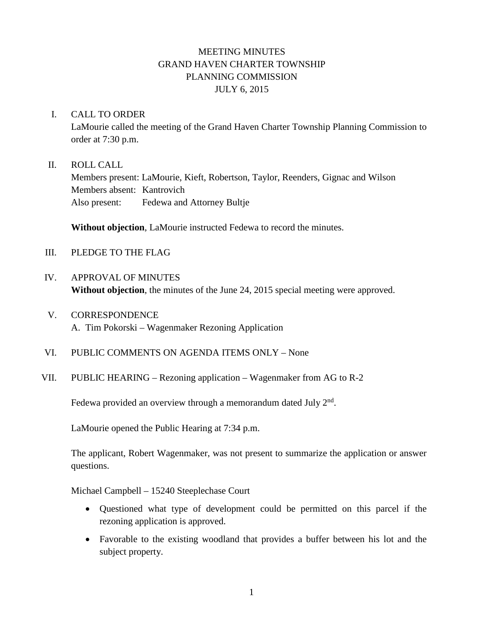# MEETING MINUTES GRAND HAVEN CHARTER TOWNSHIP PLANNING COMMISSION JULY 6, 2015

#### I. CALL TO ORDER

LaMourie called the meeting of the Grand Haven Charter Township Planning Commission to order at 7:30 p.m.

#### II. ROLL CALL

Members present: LaMourie, Kieft, Robertson, Taylor, Reenders, Gignac and Wilson Members absent: Kantrovich Also present: Fedewa and Attorney Bultje

**Without objection**, LaMourie instructed Fedewa to record the minutes.

- III. PLEDGE TO THE FLAG
- IV. APPROVAL OF MINUTES **Without objection**, the minutes of the June 24, 2015 special meeting were approved.
- V. CORRESPONDENCE A. Tim Pokorski – Wagenmaker Rezoning Application
- VI. PUBLIC COMMENTS ON AGENDA ITEMS ONLY None
- VII. PUBLIC HEARING Rezoning application Wagenmaker from AG to R-2

Fedewa provided an overview through a memorandum dated July  $2<sup>nd</sup>$ .

LaMourie opened the Public Hearing at 7:34 p.m.

The applicant, Robert Wagenmaker, was not present to summarize the application or answer questions.

Michael Campbell – 15240 Steeplechase Court

- Questioned what type of development could be permitted on this parcel if the rezoning application is approved.
- Favorable to the existing woodland that provides a buffer between his lot and the subject property.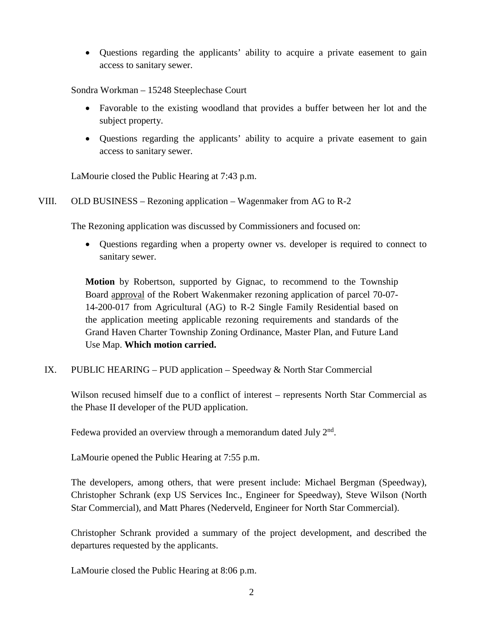• Questions regarding the applicants' ability to acquire a private easement to gain access to sanitary sewer.

Sondra Workman – 15248 Steeplechase Court

- Favorable to the existing woodland that provides a buffer between her lot and the subject property.
- Questions regarding the applicants' ability to acquire a private easement to gain access to sanitary sewer.

LaMourie closed the Public Hearing at 7:43 p.m.

#### VIII. OLD BUSINESS – Rezoning application – Wagenmaker from AG to R-2

The Rezoning application was discussed by Commissioners and focused on:

• Questions regarding when a property owner vs. developer is required to connect to sanitary sewer.

**Motion** by Robertson, supported by Gignac, to recommend to the Township Board approval of the Robert Wakenmaker rezoning application of parcel 70-07- 14-200-017 from Agricultural (AG) to R-2 Single Family Residential based on the application meeting applicable rezoning requirements and standards of the Grand Haven Charter Township Zoning Ordinance, Master Plan, and Future Land Use Map. **Which motion carried.**

IX. PUBLIC HEARING – PUD application – Speedway & North Star Commercial

Wilson recused himself due to a conflict of interest – represents North Star Commercial as the Phase II developer of the PUD application.

Fedewa provided an overview through a memorandum dated July  $2<sup>nd</sup>$ .

LaMourie opened the Public Hearing at 7:55 p.m.

The developers, among others, that were present include: Michael Bergman (Speedway), Christopher Schrank (exp US Services Inc., Engineer for Speedway), Steve Wilson (North Star Commercial), and Matt Phares (Nederveld, Engineer for North Star Commercial).

Christopher Schrank provided a summary of the project development, and described the departures requested by the applicants.

LaMourie closed the Public Hearing at 8:06 p.m.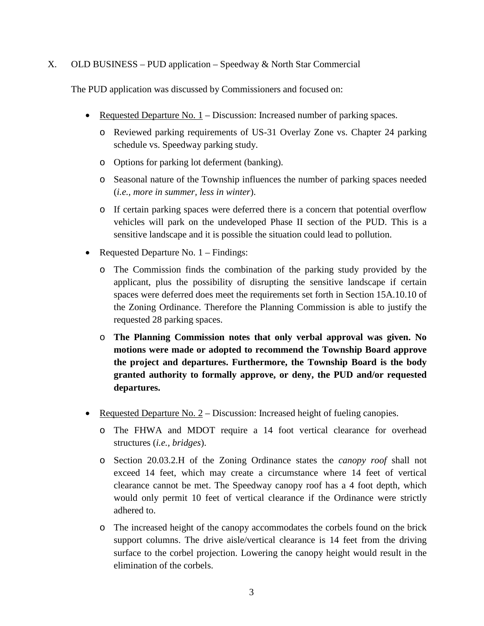#### X. OLD BUSINESS – PUD application – Speedway & North Star Commercial

The PUD application was discussed by Commissioners and focused on:

- Requested Departure No.  $1$  Discussion: Increased number of parking spaces.
	- o Reviewed parking requirements of US-31 Overlay Zone vs. Chapter 24 parking schedule vs. Speedway parking study.
	- o Options for parking lot deferment (banking).
	- o Seasonal nature of the Township influences the number of parking spaces needed (*i.e., more in summer, less in winter*).
	- o If certain parking spaces were deferred there is a concern that potential overflow vehicles will park on the undeveloped Phase II section of the PUD. This is a sensitive landscape and it is possible the situation could lead to pollution.
- Requested Departure No. 1 Findings:
	- o The Commission finds the combination of the parking study provided by the applicant, plus the possibility of disrupting the sensitive landscape if certain spaces were deferred does meet the requirements set forth in Section 15A.10.10 of the Zoning Ordinance. Therefore the Planning Commission is able to justify the requested 28 parking spaces.
	- o **The Planning Commission notes that only verbal approval was given. No motions were made or adopted to recommend the Township Board approve the project and departures. Furthermore, the Township Board is the body granted authority to formally approve, or deny, the PUD and/or requested departures.**
- Requested Departure No.  $2 -$  Discussion: Increased height of fueling canopies.
	- o The FHWA and MDOT require a 14 foot vertical clearance for overhead structures (*i.e., bridges*).
	- o Section 20.03.2.H of the Zoning Ordinance states the *canopy roof* shall not exceed 14 feet, which may create a circumstance where 14 feet of vertical clearance cannot be met. The Speedway canopy roof has a 4 foot depth, which would only permit 10 feet of vertical clearance if the Ordinance were strictly adhered to.
	- o The increased height of the canopy accommodates the corbels found on the brick support columns. The drive aisle/vertical clearance is 14 feet from the driving surface to the corbel projection. Lowering the canopy height would result in the elimination of the corbels.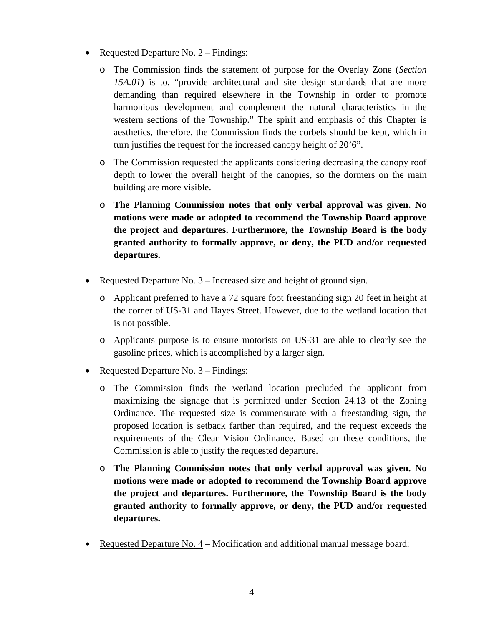- Requested Departure No. 2 Findings:
	- o The Commission finds the statement of purpose for the Overlay Zone (*Section 15A.01*) is to, "provide architectural and site design standards that are more demanding than required elsewhere in the Township in order to promote harmonious development and complement the natural characteristics in the western sections of the Township." The spirit and emphasis of this Chapter is aesthetics, therefore, the Commission finds the corbels should be kept, which in turn justifies the request for the increased canopy height of 20'6".
	- o The Commission requested the applicants considering decreasing the canopy roof depth to lower the overall height of the canopies, so the dormers on the main building are more visible.
	- o **The Planning Commission notes that only verbal approval was given. No motions were made or adopted to recommend the Township Board approve the project and departures. Furthermore, the Township Board is the body granted authority to formally approve, or deny, the PUD and/or requested departures.**
- Requested Departure No. 3 Increased size and height of ground sign.
	- o Applicant preferred to have a 72 square foot freestanding sign 20 feet in height at the corner of US-31 and Hayes Street. However, due to the wetland location that is not possible.
	- o Applicants purpose is to ensure motorists on US-31 are able to clearly see the gasoline prices, which is accomplished by a larger sign.
- Requested Departure No. 3 Findings:
	- o The Commission finds the wetland location precluded the applicant from maximizing the signage that is permitted under Section 24.13 of the Zoning Ordinance. The requested size is commensurate with a freestanding sign, the proposed location is setback farther than required, and the request exceeds the requirements of the Clear Vision Ordinance. Based on these conditions, the Commission is able to justify the requested departure.
	- o **The Planning Commission notes that only verbal approval was given. No motions were made or adopted to recommend the Township Board approve the project and departures. Furthermore, the Township Board is the body granted authority to formally approve, or deny, the PUD and/or requested departures.**
- Requested Departure No. 4 Modification and additional manual message board: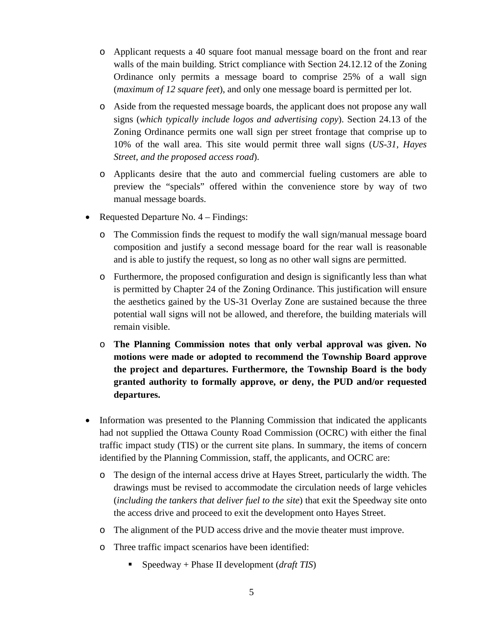- o Applicant requests a 40 square foot manual message board on the front and rear walls of the main building. Strict compliance with Section 24.12.12 of the Zoning Ordinance only permits a message board to comprise 25% of a wall sign (*maximum of 12 square feet*), and only one message board is permitted per lot.
- o Aside from the requested message boards, the applicant does not propose any wall signs (*which typically include logos and advertising copy*). Section 24.13 of the Zoning Ordinance permits one wall sign per street frontage that comprise up to 10% of the wall area. This site would permit three wall signs (*US-31, Hayes Street, and the proposed access road*).
- o Applicants desire that the auto and commercial fueling customers are able to preview the "specials" offered within the convenience store by way of two manual message boards.
- Requested Departure No. 4 Findings:
	- o The Commission finds the request to modify the wall sign/manual message board composition and justify a second message board for the rear wall is reasonable and is able to justify the request, so long as no other wall signs are permitted.
	- o Furthermore, the proposed configuration and design is significantly less than what is permitted by Chapter 24 of the Zoning Ordinance. This justification will ensure the aesthetics gained by the US-31 Overlay Zone are sustained because the three potential wall signs will not be allowed, and therefore, the building materials will remain visible.
	- o **The Planning Commission notes that only verbal approval was given. No motions were made or adopted to recommend the Township Board approve the project and departures. Furthermore, the Township Board is the body granted authority to formally approve, or deny, the PUD and/or requested departures.**
- Information was presented to the Planning Commission that indicated the applicants had not supplied the Ottawa County Road Commission (OCRC) with either the final traffic impact study (TIS) or the current site plans. In summary, the items of concern identified by the Planning Commission, staff, the applicants, and OCRC are:
	- o The design of the internal access drive at Hayes Street, particularly the width. The drawings must be revised to accommodate the circulation needs of large vehicles (*including the tankers that deliver fuel to the site*) that exit the Speedway site onto the access drive and proceed to exit the development onto Hayes Street.
	- o The alignment of the PUD access drive and the movie theater must improve.
	- o Three traffic impact scenarios have been identified:
		- Speedway + Phase II development (*draft TIS*)